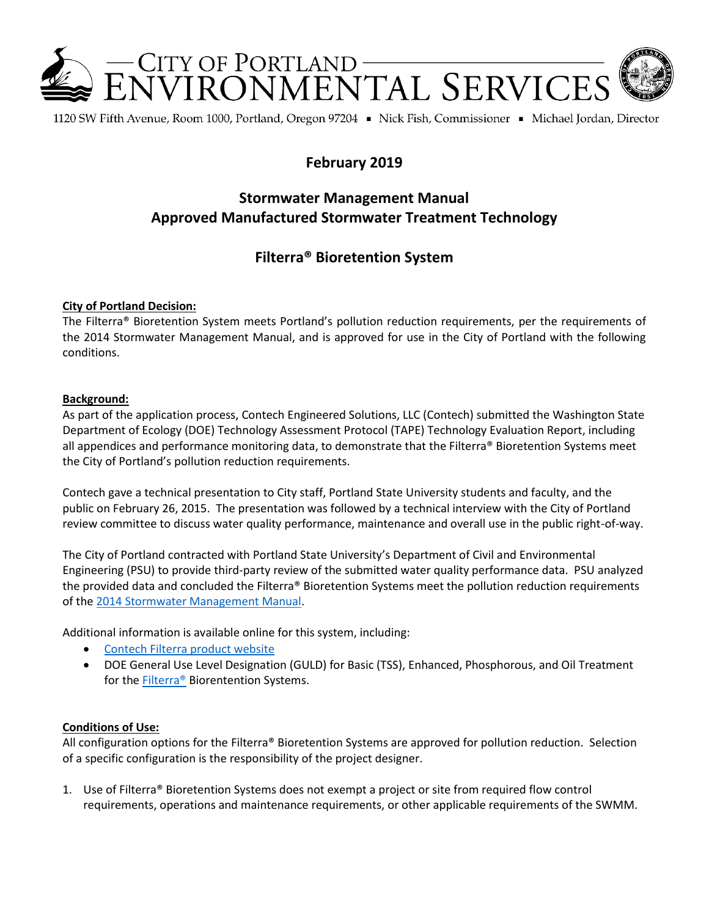

1120 SW Fifth Avenue, Room 1000, Portland, Oregon 97204 • Nick Fish, Commissioner • Michael Jordan, Director

## **February 2019**

# **Stormwater Management Manual Approved Manufactured Stormwater Treatment Technology**

### **Filterra® Bioretention System**

#### **City of Portland Decision:**

The Filterra® Bioretention System meets Portland's pollution reduction requirements, per the requirements of the 2014 Stormwater Management Manual, and is approved for use in the City of Portland with the following conditions.

#### **Background:**

As part of the application process, Contech Engineered Solutions, LLC (Contech) submitted the Washington State Department of Ecology (DOE) Technology Assessment Protocol (TAPE) Technology Evaluation Report, including all appendices and performance monitoring data, to demonstrate that the Filterra® Bioretention Systems meet the City of Portland's pollution reduction requirements.

Contech gave a technical presentation to City staff, Portland State University students and faculty, and the public on February 26, 2015. The presentation was followed by a technical interview with the City of Portland review committee to discuss water quality performance, maintenance and overall use in the public right-of-way.

The City of Portland contracted with Portland State University's Department of Civil and Environmental Engineering (PSU) to provide third-party review of the submitted water quality performance data. PSU analyzed the provided data and concluded the Filterra® Bioretention Systems meet the pollution reduction requirements of the [2014 Stormwater Management Manual.](http://www.portlandoregon.gov/bes/64040)

Additional information is available online for this system, including:

- [Contech Filterra product website](http://www.conteches.com/products/stormwater-management/biofiltration-bioretention/filterra.aspx)
- DOE General Use Level Designation (GULD) for Basic (TSS), Enhanced, Phosphorous, and Oil Treatment for the [Filterra®](http://www.ecy.wa.gov/programs/wq/stormwater/newtech/technologies.html) Biorentention Systems.

#### **Conditions of Use:**

All configuration options for the Filterra® Bioretention Systems are approved for pollution reduction. Selection of a specific configuration is the responsibility of the project designer.

1. Use of Filterra® Bioretention Systems does not exempt a project or site from required flow control requirements, operations and maintenance requirements, or other applicable requirements of the SWMM.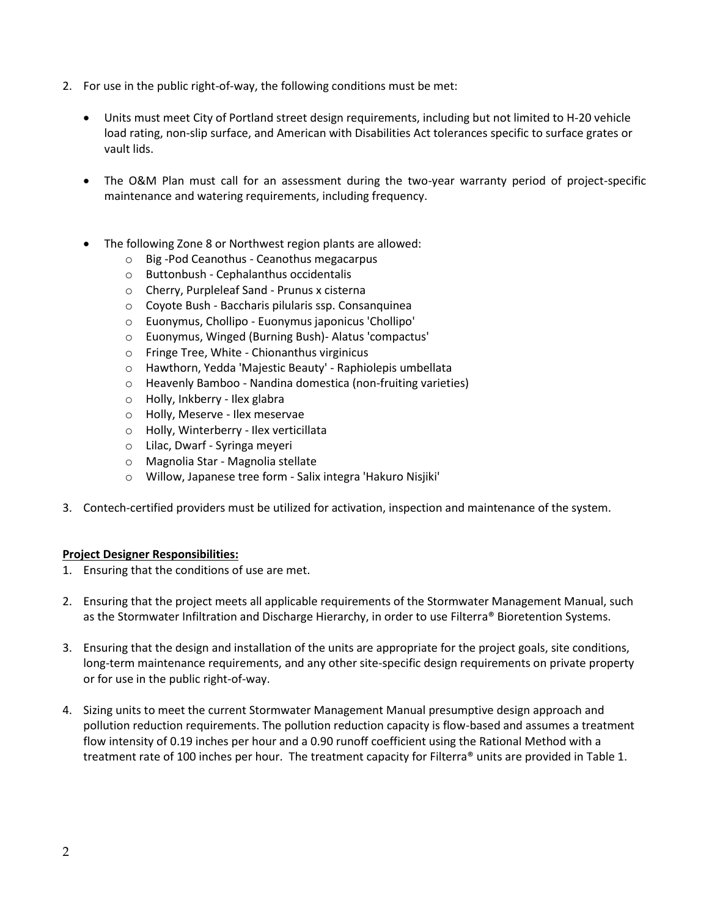- 2. For use in the public right-of-way, the following conditions must be met:
	- Units must meet City of Portland street design requirements, including but not limited to H-20 vehicle load rating, non-slip surface, and American with Disabilities Act tolerances specific to surface grates or vault lids.
	- The O&M Plan must call for an assessment during the two-year warranty period of project-specific maintenance and watering requirements, including frequency.
	- The following Zone 8 or Northwest region plants are allowed:
		- o Big -Pod Ceanothus Ceanothus megacarpus
		- o Buttonbush Cephalanthus occidentalis
		- o Cherry, Purpleleaf Sand Prunus x cisterna
		- o Coyote Bush Baccharis pilularis ssp. Consanquinea
		- o Euonymus, Chollipo Euonymus japonicus 'Chollipo'
		- o Euonymus, Winged (Burning Bush)- Alatus 'compactus'
		- o Fringe Tree, White Chionanthus virginicus
		- o Hawthorn, Yedda 'Majestic Beauty' Raphiolepis umbellata
		- o Heavenly Bamboo Nandina domestica (non-fruiting varieties)
		- o Holly, Inkberry Ilex glabra
		- o Holly, Meserve Ilex meservae
		- o Holly, Winterberry Ilex verticillata
		- o Lilac, Dwarf Syringa meyeri
		- o Magnolia Star Magnolia stellate
		- o Willow, Japanese tree form Salix integra 'Hakuro Nisjiki'
- 3. Contech-certified providers must be utilized for activation, inspection and maintenance of the system.

#### **Project Designer Responsibilities:**

- 1. Ensuring that the conditions of use are met.
- 2. Ensuring that the project meets all applicable requirements of the Stormwater Management Manual, such as the Stormwater Infiltration and Discharge Hierarchy, in order to use Filterra® Bioretention Systems.
- 3. Ensuring that the design and installation of the units are appropriate for the project goals, site conditions, long-term maintenance requirements, and any other site-specific design requirements on private property or for use in the public right-of-way.
- 4. Sizing units to meet the current Stormwater Management Manual presumptive design approach and pollution reduction requirements. The pollution reduction capacity is flow-based and assumes a treatment flow intensity of 0.19 inches per hour and a 0.90 runoff coefficient using the Rational Method with a treatment rate of 100 inches per hour. The treatment capacity for Filterra® units are provided in Table 1.